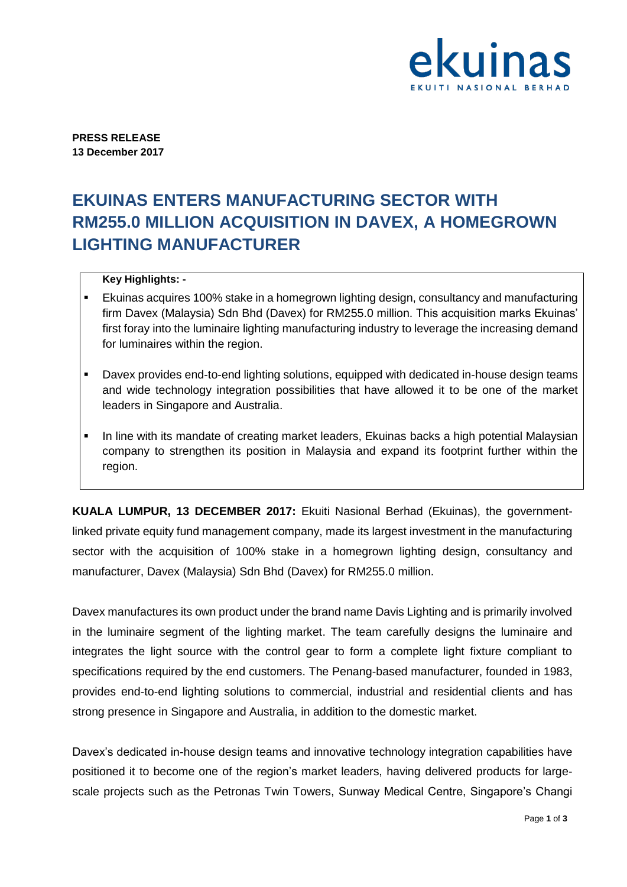

**PRESS RELEASE 13 December 2017** 

# **EKUINAS ENTERS MANUFACTURING SECTOR WITH RM255.0 MILLION ACQUISITION IN DAVEX, A HOMEGROWN LIGHTING MANUFACTURER**

## **Key Highlights: -**

- Ekuinas acquires 100% stake in a homegrown lighting design, consultancy and manufacturing firm Davex (Malaysia) Sdn Bhd (Davex) for RM255.0 million. This acquisition marks Ekuinas' first foray into the luminaire lighting manufacturing industry to leverage the increasing demand for luminaires within the region.
- Davex provides end-to-end lighting solutions, equipped with dedicated in-house design teams and wide technology integration possibilities that have allowed it to be one of the market leaders in Singapore and Australia.
- In line with its mandate of creating market leaders, Ekuinas backs a high potential Malaysian company to strengthen its position in Malaysia and expand its footprint further within the region.

**KUALA LUMPUR, 13 DECEMBER 2017:** Ekuiti Nasional Berhad (Ekuinas), the governmentlinked private equity fund management company, made its largest investment in the manufacturing sector with the acquisition of 100% stake in a homegrown lighting design, consultancy and manufacturer, Davex (Malaysia) Sdn Bhd (Davex) for RM255.0 million.

Davex manufactures its own product under the brand name Davis Lighting and is primarily involved in the luminaire segment of the lighting market. The team carefully designs the luminaire and integrates the light source with the control gear to form a complete light fixture compliant to specifications required by the end customers. The Penang-based manufacturer, founded in 1983, provides end-to-end lighting solutions to commercial, industrial and residential clients and has strong presence in Singapore and Australia, in addition to the domestic market.

Davex's dedicated in-house design teams and innovative technology integration capabilities have positioned it to become one of the region's market leaders, having delivered products for largescale projects such as the Petronas Twin Towers, Sunway Medical Centre, Singapore's Changi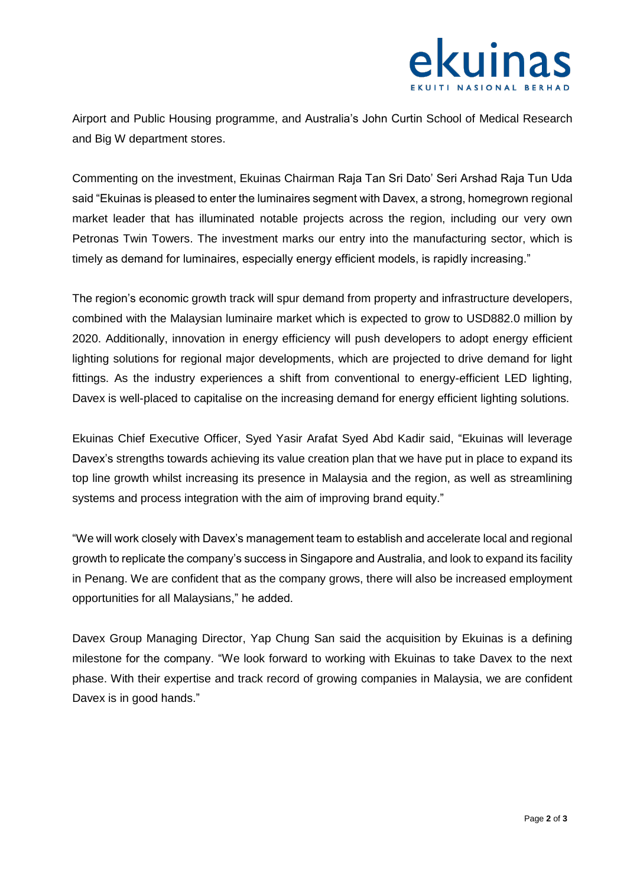

Airport and Public Housing programme, and Australia's John Curtin School of Medical Research and Big W department stores.

Commenting on the investment, Ekuinas Chairman Raja Tan Sri Dato' Seri Arshad Raja Tun Uda said "Ekuinas is pleased to enter the luminaires segment with Davex, a strong, homegrown regional market leader that has illuminated notable projects across the region, including our very own Petronas Twin Towers. The investment marks our entry into the manufacturing sector, which is timely as demand for luminaires, especially energy efficient models, is rapidly increasing."

The region's economic growth track will spur demand from property and infrastructure developers, combined with the Malaysian luminaire market which is expected to grow to USD882.0 million by 2020. Additionally, innovation in energy efficiency will push developers to adopt energy efficient lighting solutions for regional major developments, which are projected to drive demand for light fittings. As the industry experiences a shift from conventional to energy-efficient LED lighting, Davex is well-placed to capitalise on the increasing demand for energy efficient lighting solutions.

Ekuinas Chief Executive Officer, Syed Yasir Arafat Syed Abd Kadir said, "Ekuinas will leverage Davex's strengths towards achieving its value creation plan that we have put in place to expand its top line growth whilst increasing its presence in Malaysia and the region, as well as streamlining systems and process integration with the aim of improving brand equity."

"We will work closely with Davex's management team to establish and accelerate local and regional growth to replicate the company's success in Singapore and Australia, and look to expand its facility in Penang. We are confident that as the company grows, there will also be increased employment opportunities for all Malaysians," he added.

Davex Group Managing Director, Yap Chung San said the acquisition by Ekuinas is a defining milestone for the company. "We look forward to working with Ekuinas to take Davex to the next phase. With their expertise and track record of growing companies in Malaysia, we are confident Davex is in good hands."